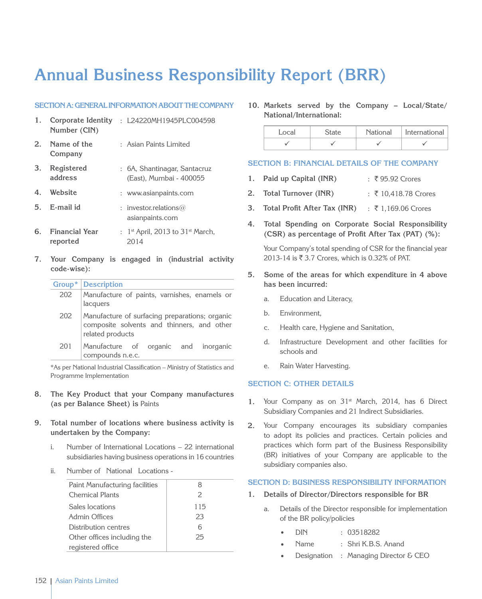# **Annual Business Responsibility Report (BRR)**

## **SECTION A: GENERAL INFORMATION ABOUT THE COMPANY**

- **1. Corporate Identity**  : L24220MH1945PLC004598 **Number (CIN)**
- **2. Name of the Company** : Asian Paints Limited
- **3. Registered address** : 6A, Shantinagar, Santacruz (East), Mumbai - 400055
- **4. Website** : www.asianpaints.com
- **5. E-mail id** : investor.relations@ asianpaints.com
- **6. Financial Year reported** :  $1<sup>st</sup>$  April, 2013 to 31 $<sup>st</sup>$  March,</sup> 2014
- **7. Your Company is engaged in (industrial activity code-wise):**

|     | Group*   Description                                                                                             |
|-----|------------------------------------------------------------------------------------------------------------------|
| 202 | Manufacture of paints, varnishes, enamels or<br>lacquers                                                         |
| 202 | Manufacture of surfacing preparations; organic<br>composite solvents and thinners, and other<br>related products |
| 201 | Manufacture of organic and inorganic<br>compounds n.e.c.                                                         |

\*As per National Industrial Classification – Ministry of Statistics and Programme Implementation

- **8. The Key Product that your Company manufactures (as per Balance Sheet) is** Paints
- **9. Total number of locations where business activity is undertaken by the Company:**
	- i. Number of International Locations 22 international subsidiaries having business operations in 16 countries
	- ii. Number of National Locations -

| Paint Manufacturing facilities | 8   |
|--------------------------------|-----|
| <b>Chemical Plants</b>         | 2   |
| Sales locations                | 115 |
| Admin Offices                  | 23  |
| Distribution centres           | 6   |
| Other offices including the    | 25  |
| registered office              |     |

**10. Markets served by the Company – Local/State/ National/International:**

|  | National | International |  |  |
|--|----------|---------------|--|--|
|  |          |               |  |  |

## **Section B: Financial Details of the Company**

- 1. **Paid up Capital (INR)** : ₹95.92 Crores
- **2. Total Turnover (INR)** : ₹ 10,418.78 Crores
- **3. Total Profit After Tax (INR)** : ₹ 1,169.06 Crores
- **4. Total Spending on Corporate Social Responsibility (CSR) as percentage of Profit After Tax (PAT) (%):**

Your Company's total spending of CSR for the financial year 2013-14 is ₹ 3.7 Crores, which is 0.32% of PAT.

- **5. Some of the areas for which expenditure in 4 above has been incurred:**
	- a. Education and Literacy,
	- b. Environment,
	- c. Health care, Hygiene and Sanitation,
	- d. Infrastructure Development and other facilities for schools and
	- e. Rain Water Harvesting.

# **Section C: Other Details**

- 1. Your Company as on 31<sup>st</sup> March, 2014, has 6 Direct Subsidiary Companies and 21 Indirect Subsidiaries.
- **2.** Your Company encourages its subsidiary companies to adopt its policies and practices. Certain policies and practices which form part of the Business Responsibility (BR) initiatives of your Company are applicable to the subsidiary companies also.

## **Section D: Business Responsibility Information**

- **1. Details of Director/Directors responsible for BR**
	- a. Details of the Director responsible for implementation of the BR policy/policies
		- DIN : 03518282
		- Name : Shri K.B.S. Anand
		- Designation : Managing Director & CEO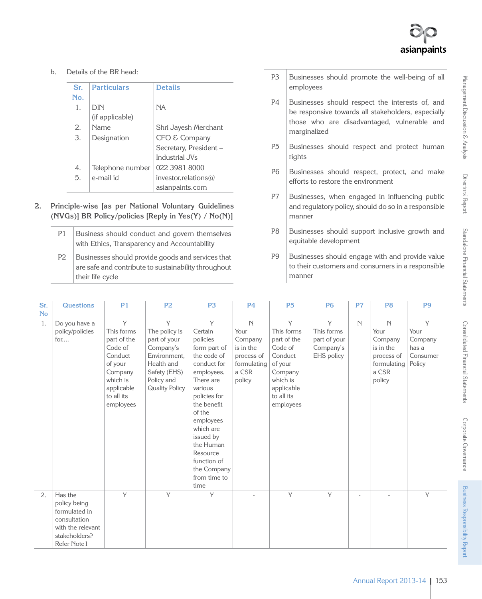b. Details of the BR head:

| Sr. | <b>Particulars</b> | <b>Details</b>         |
|-----|--------------------|------------------------|
| No. |                    |                        |
| 1.  | <b>DIN</b>         | <b>NA</b>              |
|     | (if applicable)    |                        |
| 2.  | Name               | Shri Jayesh Merchant   |
| 3.  | Designation        | CFO & Company          |
|     |                    | Secretary, President - |
|     |                    | Industrial, IVs        |
| 4.  | Telephone number   | 022 3981 8000          |
| 5.  | e-mail id          | investor.relations $@$ |
|     |                    | asianpaints.com        |

- **2. Principle-wise [as per National Voluntary Guidelines (NVGs)] BR Policy/policies [Reply in Yes(Y) / No(N)]**
	- P1 | Business should conduct and govern themselves with Ethics, Transparency and Accountability
	- P2 Businesses should provide goods and services that are safe and contribute to sustainability throughout their life cycle
- P3 Businesses should promote the well-being of all employees
- P4 Businesses should respect the interests of, and be responsive towards all stakeholders, especially those who are disadvantaged, vulnerable and marginalized
- P5 Businesses should respect and protect human rights
- P6 Businesses should respect, protect, and make efforts to restore the environment
- P7 Businesses, when engaged in influencing public and regulatory policy, should do so in a responsible manner
- P8 Businesses should support inclusive growth and equitable development
- P9 Businesses should engage with and provide value to their customers and consumers in a responsible manner

| Sr.       | <b>Questions</b>                                                              | P <sub>1</sub>                                                                                                                  | P <sub>2</sub>                                                                                                                       | P <sub>3</sub>                                                                                                                                                                                                                                                              | <b>P4</b>                                                                                   | <b>P5</b>                                                                                                                       | <b>P6</b>                                                  | P <sub>7</sub> | P <sub>8</sub>                                                                    | P <sub>9</sub>                                      |
|-----------|-------------------------------------------------------------------------------|---------------------------------------------------------------------------------------------------------------------------------|--------------------------------------------------------------------------------------------------------------------------------------|-----------------------------------------------------------------------------------------------------------------------------------------------------------------------------------------------------------------------------------------------------------------------------|---------------------------------------------------------------------------------------------|---------------------------------------------------------------------------------------------------------------------------------|------------------------------------------------------------|----------------|-----------------------------------------------------------------------------------|-----------------------------------------------------|
| <b>No</b> |                                                                               |                                                                                                                                 |                                                                                                                                      |                                                                                                                                                                                                                                                                             |                                                                                             |                                                                                                                                 |                                                            |                |                                                                                   |                                                     |
| 1.        | Do you have a<br>policy/policies<br>for                                       | Y<br>This forms<br>part of the<br>Code of<br>Conduct<br>of your<br>Company<br>which is<br>applicable<br>to all its<br>employees | Y<br>The policy is<br>part of your<br>Company's<br>Environment.<br>Health and<br>Safety (EHS)<br>Policy and<br><b>Quality Policy</b> | Y<br>Certain<br>policies<br>form part of<br>the code of<br>conduct for<br>employees.<br>There are<br>various<br>policies for<br>the benefit<br>of the<br>employees<br>which are<br>issued by<br>the Human<br>Resource<br>function of<br>the Company<br>from time to<br>time | $\mathbb N$<br>Your<br>Company<br>is in the<br>process of<br>formulating<br>a CSR<br>policy | Y<br>This forms<br>part of the<br>Code of<br>Conduct<br>of your<br>Company<br>which is<br>applicable<br>to all its<br>employees | Y<br>This forms<br>part of your<br>Company's<br>EHS policy | $\mathbb N$    | N<br>Your<br>Company<br>is in the<br>process of<br>formulating<br>a CSR<br>policy | Y<br>Your<br>Company<br>has a<br>Consumer<br>Policy |
| 2.        | Has the<br>policy being<br>formulated in<br>consultation<br>with the relevant | Y                                                                                                                               | Y                                                                                                                                    | Y                                                                                                                                                                                                                                                                           |                                                                                             | Y                                                                                                                               | Y                                                          | $\overline{a}$ |                                                                                   | Y                                                   |
|           | stakeholders?<br>Refer Note1                                                  |                                                                                                                                 |                                                                                                                                      |                                                                                                                                                                                                                                                                             |                                                                                             |                                                                                                                                 |                                                            |                |                                                                                   |                                                     |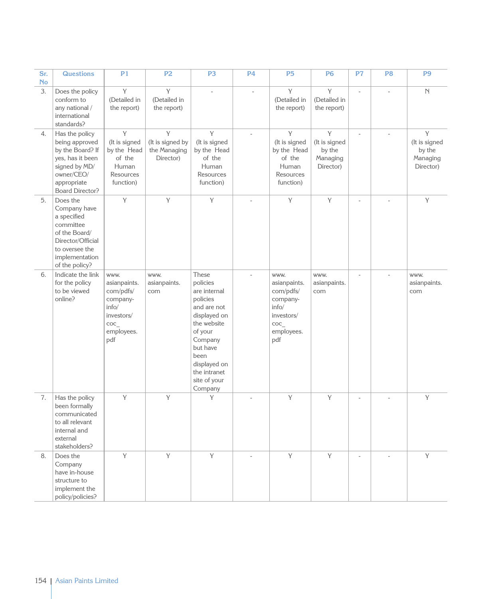| Sr.<br><b>No</b> | <b>Questions</b>                                                                                                                                 | P <sub>1</sub>                                                                                   | P <sub>2</sub>                                     | P <sub>3</sub>                                                                                                                                                                                   | <b>P4</b> | P <sub>5</sub>                                                                                   | <b>P6</b>                                             | P7 | P <sub>8</sub> | P <sub>9</sub>                                        |
|------------------|--------------------------------------------------------------------------------------------------------------------------------------------------|--------------------------------------------------------------------------------------------------|----------------------------------------------------|--------------------------------------------------------------------------------------------------------------------------------------------------------------------------------------------------|-----------|--------------------------------------------------------------------------------------------------|-------------------------------------------------------|----|----------------|-------------------------------------------------------|
| 3.               | Does the policy<br>conform to<br>any national /<br>international<br>standards?                                                                   | Y<br>(Detailed in<br>the report)                                                                 | Y<br>(Detailed in<br>the report)                   | ÷,                                                                                                                                                                                               | ÷,        | Y<br>(Detailed in<br>the report)                                                                 | Y<br>(Detailed in<br>the report)                      |    | ÷.             | $\mathbb N$                                           |
| 4.               | Has the policy<br>being approved<br>by the Board? If<br>yes, has it been<br>signed by MD/<br>owner/CEO/<br>appropriate<br><b>Board Director?</b> | Y<br>(It is signed<br>by the Head<br>of the<br>Human<br>Resources<br>function)                   | Y<br>(It is signed by<br>the Managing<br>Director) | Y<br>(It is signed<br>by the Head<br>of the<br>Human<br>Resources<br>function)                                                                                                                   | $\sim$    | Y<br>(It is signed<br>by the Head<br>of the<br>Human<br>Resources<br>function)                   | Y<br>(It is signed<br>by the<br>Managing<br>Director) |    |                | Y<br>(It is signed<br>by the<br>Managing<br>Director) |
| 5.               | Does the<br>Company have<br>a specified<br>committee<br>of the Board/<br>Director/Official<br>to oversee the<br>implementation<br>of the policy? | Y                                                                                                | Y                                                  | Y                                                                                                                                                                                                |           | Y                                                                                                | Y                                                     |    |                | Y                                                     |
| 6.               | Indicate the link<br>for the policy<br>to be viewed<br>online?                                                                                   | www.<br>asianpaints.<br>com/pdfs/<br>company-<br>info/<br>investors/<br>COC<br>employees.<br>pdf | www.<br>asianpaints.<br>com                        | These<br>policies<br>are internal<br>policies<br>and are not<br>displayed on<br>the website<br>of your<br>Company<br>but have<br>been<br>displayed on<br>the intranet<br>site of your<br>Company | ä,        | www.<br>asianpaints.<br>com/pdfs/<br>company-<br>info/<br>investors/<br>COC<br>employees.<br>pdf | WWW.<br>asianpaints.<br>com                           | ä, | ä,             | www.<br>asianpaints.<br>com                           |
| 7.               | Has the policy<br>been formally<br>communicated<br>to all relevant<br>internal and<br>external<br>stakeholders?                                  | Y                                                                                                | Y                                                  | Y                                                                                                                                                                                                |           | Y                                                                                                | Y                                                     |    |                | $\mathbf Y$                                           |
| 8.               | Does the<br>Company<br>have in-house<br>structure to<br>implement the<br>policy/policies?                                                        | Y                                                                                                | Y                                                  | Y                                                                                                                                                                                                | ä,        | Y                                                                                                | Y                                                     |    |                | Y                                                     |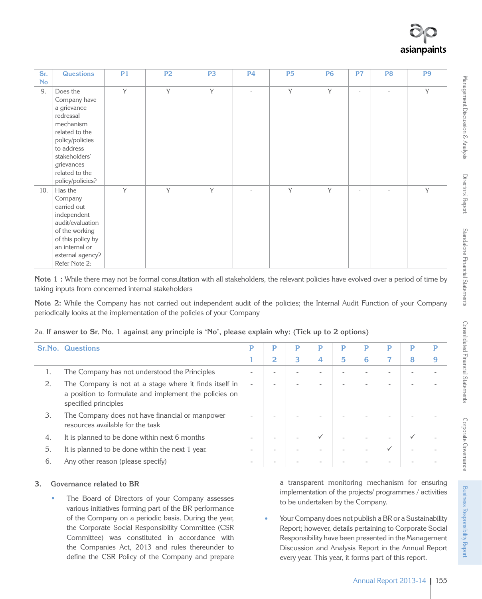| Sr.       | <b>Questions</b>                                                                                                                                                                          | P <sub>1</sub> | <b>P2</b> | P <sub>3</sub> | <b>P4</b> | <b>P5</b> | <b>P6</b> | P7             | P <sub>8</sub> | P <sub>9</sub> |
|-----------|-------------------------------------------------------------------------------------------------------------------------------------------------------------------------------------------|----------------|-----------|----------------|-----------|-----------|-----------|----------------|----------------|----------------|
| <b>No</b> |                                                                                                                                                                                           |                |           |                |           |           |           |                |                |                |
| 9.        | Does the<br>Company have<br>a grievance<br>redressal<br>mechanism<br>related to the<br>policy/policies<br>to address<br>stakeholders'<br>grievances<br>related to the<br>policy/policies? | Y              | Y         | Y              | ä,        | Y         | Y         | $\overline{a}$ | ٠              | Y              |
| 10.       | Has the<br>Company<br>carried out<br>independent<br>audit/evaluation<br>of the working<br>of this policy by<br>an internal or<br>external agency?<br>Refer Note 2:                        | Y              | Y         | Y              |           | Y         | Y         | ٠              |                | Y              |

**Note 1 :** While there may not be formal consultation with all stakeholders, the relevant policies have evolved over a period of time by taking inputs from concerned internal stakeholders

**Note 2:** While the Company has not carried out independent audit of the policies; the Internal Audit Function of your Company periodically looks at the implementation of the policies of your Company

| 2a. If answer to Sr. No. 1 against any principle is 'No', please explain why: (Tick up to 2 options) |  |  |  |  |  |  |  |  |  |
|------------------------------------------------------------------------------------------------------|--|--|--|--|--|--|--|--|--|
|                                                                                                      |  |  |  |  |  |  |  |  |  |

| Sr.No. | <b>Questions</b>                                                                                                                        | P                        | P | P      | D            | P | P | P            | P            | D |
|--------|-----------------------------------------------------------------------------------------------------------------------------------------|--------------------------|---|--------|--------------|---|---|--------------|--------------|---|
|        |                                                                                                                                         |                          | 2 | 3      | 4            | 5 | 6 |              | 8            |   |
| 1.     | The Company has not understood the Principles                                                                                           |                          |   |        |              |   |   |              |              |   |
| 2.     | The Company is not at a stage where it finds itself in<br>a position to formulate and implement the policies on<br>specified principles | $\overline{\phantom{a}}$ |   |        |              |   |   |              | ۰            |   |
| 3.     | The Company does not have financial or manpower<br>resources available for the task                                                     |                          |   |        |              |   |   |              |              |   |
| 4.     | It is planned to be done within next 6 months                                                                                           |                          |   | $\sim$ | $\checkmark$ | ۰ | - | $\sim$       | $\checkmark$ |   |
| 5.     | It is planned to be done within the next 1 year.                                                                                        |                          |   |        |              |   | - | $\checkmark$ | ۰            |   |
| 6.     | Any other reason (please specify)                                                                                                       |                          |   |        |              |   |   |              |              |   |

# **3. Governance related to BR**

The Board of Directors of your Company assesses various initiatives forming part of the BR performance of the Company on a periodic basis. During the year, the Corporate Social Responsibility Committee (CSR Committee) was constituted in accordance with the Companies Act, 2013 and rules thereunder to define the CSR Policy of the Company and prepare a transparent monitoring mechanism for ensuring implementation of the projects/ programmes / activities to be undertaken by the Company.

• Your Company does not publish a BR or a Sustainability Report; however, details pertaining to Corporate Social Responsibility have been presented in the Management Discussion and Analysis Report in the Annual Report every year. This year, it forms part of this report.

Corporate Governance

Corporate Governance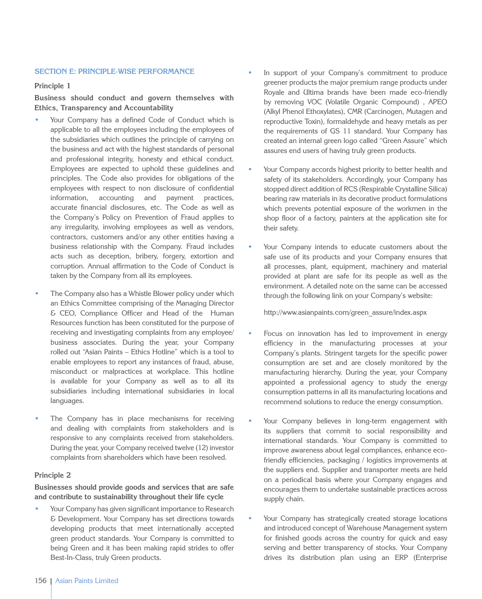#### **Section E: Principle-wise performance**

#### **Principle 1**

# **Business should conduct and govern themselves with Ethics, Transparency and Accountability**

- Your Company has a defined Code of Conduct which is applicable to all the employees including the employees of the subsidiaries which outlines the principle of carrying on the business and act with the highest standards of personal and professional integrity, honesty and ethical conduct. Employees are expected to uphold these guidelines and principles. The Code also provides for obligations of the employees with respect to non disclosure of confidential information, accounting and payment practices, accurate financial disclosures, etc. The Code as well as the Company's Policy on Prevention of Fraud applies to any irregularity, involving employees as well as vendors, contractors, customers and/or any other entities having a business relationship with the Company. Fraud includes acts such as deception, bribery, forgery, extortion and corruption. Annual affirmation to the Code of Conduct is taken by the Company from all its employees.
- The Company also has a Whistle Blower policy under which an Ethics Committee comprising of the Managing Director & CEO, Compliance Officer and Head of the Human Resources function has been constituted for the purpose of receiving and investigating complaints from any employee/ business associates. During the year, your Company rolled out "Asian Paints – Ethics Hotline" which is a tool to enable employees to report any instances of fraud, abuse, misconduct or malpractices at workplace. This hotline is available for your Company as well as to all its subsidiaries including international subsidiaries in local languages.
- The Company has in place mechanisms for receiving and dealing with complaints from stakeholders and is responsive to any complaints received from stakeholders. During the year, your Company received twelve (12) investor complaints from shareholders which have been resolved.

## **Principle 2**

## **Businesses should provide goods and services that are safe and contribute to sustainability throughout their life cycle**

• Your Company has given significant importance to Research & Development. Your Company has set directions towards developing products that meet internationally accepted green product standards. Your Company is committed to being Green and it has been making rapid strides to offer Best-In-Class, truly Green products.

- In support of your Company's commitment to produce greener products the major premium range products under Royale and Ultima brands have been made eco-friendly by removing VOC (Volatile Organic Compound) , APEO (Alkyl Phenol Ethoxylates), CMR (Carcinogen, Mutagen and reproductive Toxin), formaldehyde and heavy metals as per the requirements of GS 11 standard. Your Company has created an internal green logo called "Green Assure" which assures end users of having truly green products.
- Your Company accords highest priority to better health and safety of its stakeholders. Accordingly, your Company has stopped direct addition of RCS (Respirable Crystalline Silica) bearing raw materials in its decorative product formulations which prevents potential exposure of the workmen in the shop floor of a factory, painters at the application site for their safety.
- Your Company intends to educate customers about the safe use of its products and your Company ensures that all processes, plant, equipment, machinery and material provided at plant are safe for its people as well as the environment. A detailed note on the same can be accessed through the following link on your Company's website:

http://www.asianpaints.com/green\_assure/index.aspx

- Focus on innovation has led to improvement in energy efficiency in the manufacturing processes at your Company's plants. Stringent targets for the specific power consumption are set and are closely monitored by the manufacturing hierarchy. During the year, your Company appointed a professional agency to study the energy consumption patterns in all its manufacturing locations and recommend solutions to reduce the energy consumption.
- Your Company believes in long-term engagement with its suppliers that commit to social responsibility and international standards. Your Company is committed to improve awareness about legal compliances, enhance ecofriendly efficiencies, packaging / logistics improvements at the suppliers end. Supplier and transporter meets are held on a periodical basis where your Company engages and encourages them to undertake sustainable practices across supply chain.
- Your Company has strategically created storage locations and introduced concept of Warehouse Management system for finished goods across the country for quick and easy serving and better transparency of stocks. Your Company drives its distribution plan using an ERP (Enterprise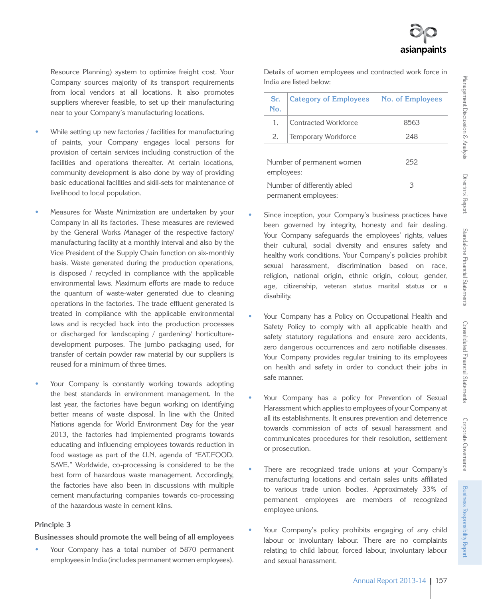Resource Planning) system to optimize freight cost. Your Company sources majority of its transport requirements from local vendors at all locations. It also promotes suppliers wherever feasible, to set up their manufacturing near to your Company's manufacturing locations.

- While setting up new factories / facilities for manufacturing of paints, your Company engages local persons for provision of certain services including construction of the facilities and operations thereafter. At certain locations, community development is also done by way of providing basic educational facilities and skill-sets for maintenance of livelihood to local population.
- Measures for Waste Minimization are undertaken by your Company in all its factories. These measures are reviewed by the General Works Manager of the respective factory/ manufacturing facility at a monthly interval and also by the Vice President of the Supply Chain function on six-monthly basis. Waste generated during the production operations, is disposed / recycled in compliance with the applicable environmental laws. Maximum efforts are made to reduce the quantum of waste-water generated due to cleaning operations in the factories. The trade effluent generated is treated in compliance with the applicable environmental laws and is recycled back into the production processes or discharged for landscaping / gardening/ horticulturedevelopment purposes. The jumbo packaging used, for transfer of certain powder raw material by our suppliers is reused for a minimum of three times.
- Your Company is constantly working towards adopting the best standards in environment management. In the last year, the factories have begun working on identifying better means of waste disposal. In line with the United Nations agenda for World Environment Day for the year 2013, the factories had implemented programs towards educating and influencing employees towards reduction in food wastage as part of the U.N. agenda of "EAT.FOOD. SAVE." Worldwide, co-processing is considered to be the best form of hazardous waste management. Accordingly, the factories have also been in discussions with multiple cement manufacturing companies towards co-processing of the hazardous waste in cement kilns.

#### **Principle 3**

#### **Businesses should promote the well being of all employees**

• Your Company has a total number of 5870 permanent employees in India (includes permanent women employees).

Details of women employees and contracted work force in India are listed below:

| Sr.<br>No. | <b>Category of Employees</b>                        | <b>No. of Employees</b> |  |  |  |
|------------|-----------------------------------------------------|-------------------------|--|--|--|
| 1.         | Contracted Workforce                                | 8563                    |  |  |  |
| 2.         | Temporary Workforce                                 | 248                     |  |  |  |
|            |                                                     |                         |  |  |  |
| employees: | Number of permanent women                           | 252                     |  |  |  |
|            | Number of differently abled<br>permanent employees: | З                       |  |  |  |

- Since inception, your Company's business practices have been governed by integrity, honesty and fair dealing. Your Company safeguards the employees' rights, values their cultural, social diversity and ensures safety and healthy work conditions. Your Company's policies prohibit sexual harassment, discrimination based on race, religion, national origin, ethnic origin, colour, gender, age, citizenship, veteran status marital status or a disability.
- Your Company has a Policy on Occupational Health and Safety Policy to comply with all applicable health and safety statutory regulations and ensure zero accidents, zero dangerous occurrences and zero notifiable diseases. Your Company provides regular training to its employees on health and safety in order to conduct their jobs in safe manner.
- Your Company has a policy for Prevention of Sexual Harassment which applies to employees of your Company at all its establishments. It ensures prevention and deterrence towards commission of acts of sexual harassment and communicates procedures for their resolution, settlement or prosecution.
- There are recognized trade unions at your Company's manufacturing locations and certain sales units affiliated to various trade union bodies. Approximately 33% of permanent employees are members of recognized employee unions.
- Your Company's policy prohibits engaging of any child labour or involuntary labour. There are no complaints relating to child labour, forced labour, involuntary labour and sexual harassment.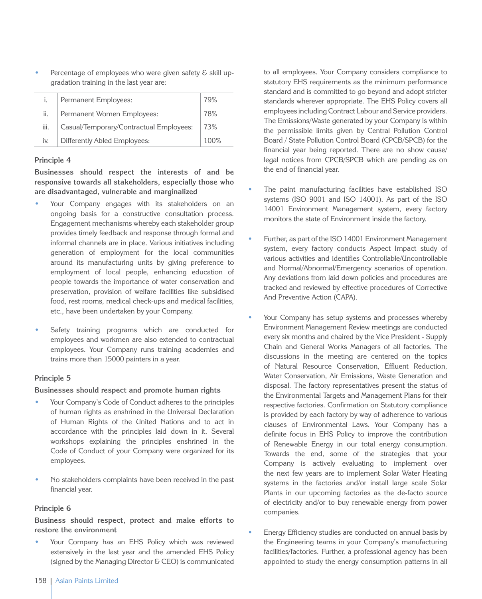Percentage of employees who were given safety & skill upgradation training in the last year are:

| i.   | Permanent Employees:                    | 79%  |
|------|-----------------------------------------|------|
| ii.  | Permanent Women Employees:              | 78%  |
| iii. | Casual/Temporary/Contractual Employees: | 73%  |
| iv.  | Differently Abled Employees:            | 100% |

#### **Principle 4**

**Businesses should respect the interests of and be responsive towards all stakeholders, especially those who are disadvantaged, vulnerable and marginalized**

- Your Company engages with its stakeholders on an ongoing basis for a constructive consultation process. Engagement mechanisms whereby each stakeholder group provides timely feedback and response through formal and informal channels are in place. Various initiatives including generation of employment for the local communities around its manufacturing units by giving preference to employment of local people, enhancing education of people towards the importance of water conservation and preservation, provision of welfare facilities like subsidised food, rest rooms, medical check-ups and medical facilities, etc., have been undertaken by your Company.
- Safety training programs which are conducted for employees and workmen are also extended to contractual employees. Your Company runs training academies and trains more than 15000 painters in a year.

## **Principle 5**

## **Businesses should respect and promote human rights**

- Your Company's Code of Conduct adheres to the principles of human rights as enshrined in the Universal Declaration of Human Rights of the United Nations and to act in accordance with the principles laid down in it. Several workshops explaining the principles enshrined in the Code of Conduct of your Company were organized for its employees.
- No stakeholders complaints have been received in the past financial year.

# **Principle 6**

**Business should respect, protect and make efforts to restore the environment**

Your Company has an EHS Policy which was reviewed extensively in the last year and the amended EHS Policy (signed by the Managing Director & CEO) is communicated

to all employees. Your Company considers compliance to statutory EHS requirements as the minimum performance standard and is committed to go beyond and adopt stricter standards wherever appropriate. The EHS Policy covers all employees including Contract Labour and Service providers. The Emissions/Waste generated by your Company is within the permissible limits given by Central Pollution Control Board / State Pollution Control Board (CPCB/SPCB) for the financial year being reported. There are no show cause/ legal notices from CPCB/SPCB which are pending as on the end of financial year.

- The paint manufacturing facilities have established ISO systems (ISO 9001 and ISO 14001). As part of the ISO 14001 Environment Management system, every factory monitors the state of Environment inside the factory.
- Further, as part of the ISO 14001 Environment Management system, every factory conducts Aspect Impact study of various activities and identifies Controllable/Uncontrollable and Normal/Abnormal/Emergency scenarios of operation. Any deviations from laid down policies and procedures are tracked and reviewed by effective procedures of Corrective And Preventive Action (CAPA).
- Your Company has setup systems and processes whereby Environment Management Review meetings are conducted every six months and chaired by the Vice President - Supply Chain and General Works Managers of all factories. The discussions in the meeting are centered on the topics of Natural Resource Conservation, Effluent Reduction, Water Conservation, Air Emissions, Waste Generation and disposal. The factory representatives present the status of the Environmental Targets and Management Plans for their respective factories. Confirmation on Statutory compliance is provided by each factory by way of adherence to various clauses of Environmental Laws. Your Company has a definite focus in EHS Policy to improve the contribution of Renewable Energy in our total energy consumption. Towards the end, some of the strategies that your Company is actively evaluating to implement over the next few years are to implement Solar Water Heating systems in the factories and/or install large scale Solar Plants in our upcoming factories as the de-facto source of electricity and/or to buy renewable energy from power companies.
- Energy Efficiency studies are conducted on annual basis by the Engineering teams in your Company's manufacturing facilities/factories. Further, a professional agency has been appointed to study the energy consumption patterns in all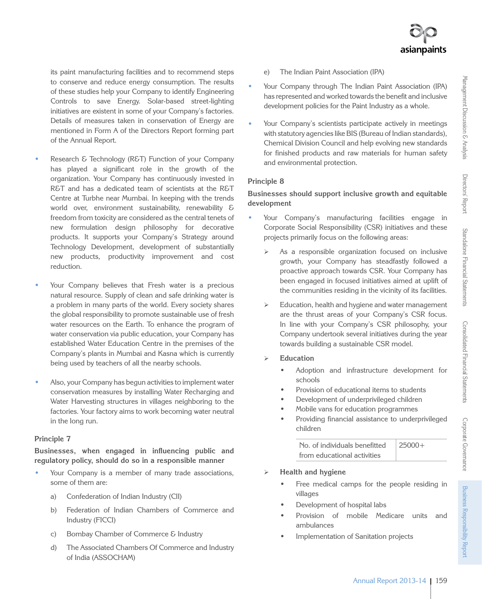its paint manufacturing facilities and to recommend steps to conserve and reduce energy consumption. The results of these studies help your Company to identify Engineering Controls to save Energy. Solar-based street-lighting initiatives are existent in some of your Company's factories. Details of measures taken in conservation of Energy are mentioned in Form A of the Directors Report forming part of the Annual Report.

- Research & Technology (R&T) Function of your Company has played a significant role in the growth of the organization. Your Company has continuously invested in R&T and has a dedicated team of scientists at the R&T Centre at Turbhe near Mumbai. In keeping with the trends world over, environment sustainability, renewability & freedom from toxicity are considered as the central tenets of new formulation design philosophy for decorative products. It supports your Company's Strategy around Technology Development, development of substantially new products, productivity improvement and cost reduction.
- Your Company believes that Fresh water is a precious natural resource. Supply of clean and safe drinking water is a problem in many parts of the world. Every society shares the global responsibility to promote sustainable use of fresh water resources on the Earth. To enhance the program of water conservation via public education, your Company has established Water Education Centre in the premises of the Company's plants in Mumbai and Kasna which is currently being used by teachers of all the nearby schools.
- Also, your Company has begun activities to implement water conservation measures by installing Water Recharging and Water Harvesting structures in villages neighboring to the factories. Your factory aims to work becoming water neutral in the long run.

# **Principle 7**

**Businesses, when engaged in influencing public and regulatory policy, should do so in a responsible manner**

- Your Company is a member of many trade associations, some of them are:
	- a) Confederation of Indian Industry (CII)
	- b) Federation of Indian Chambers of Commerce and Industry (FICCI)
	- c) Bombay Chamber of Commerce & Industry
	- d) The Associated Chambers Of Commerce and Industry of India (ASSOCHAM)
- e) The Indian Paint Association (IPA)
- Your Company through The Indian Paint Association (IPA) has represented and worked towards the benefit and inclusive development policies for the Paint Industry as a whole.
- Your Company's scientists participate actively in meetings with statutory agencies like BIS (Bureau of Indian standards), Chemical Division Council and help evolving new standards for finished products and raw materials for human safety and environmental protection.

# **Principle 8**

# **Businesses should support inclusive growth and equitable development**

- Your Company's manufacturing facilities engage in Corporate Social Responsibility (CSR) initiatives and these projects primarily focus on the following areas:
	- $\triangleright$  As a responsible organization focused on inclusive growth, your Company has steadfastly followed a proactive approach towards CSR. Your Company has been engaged in focused initiatives aimed at uplift of the communities residing in the vicinity of its facilities.
	- $\triangleright$  Education, health and hygiene and water management are the thrust areas of your Company's CSR focus. In line with your Company's CSR philosophy, your Company undertook several initiatives during the year towards building a sustainable CSR model.
	- **Education**
		- Adoption and infrastructure development for schools
		- Provision of educational items to students
		- Development of underprivileged children
		- Mobile vans for education programmes
		- Providing financial assistance to underprivileged children

| No. of individuals benefitted | $25000+$ |
|-------------------------------|----------|
| from educational activities   |          |

- **Health and hygiene**
	- Free medical camps for the people residing in villages
	- Development of hospital labs
	- Provision of mobile Medicare units and ambulances
	- Implementation of Sanitation projects